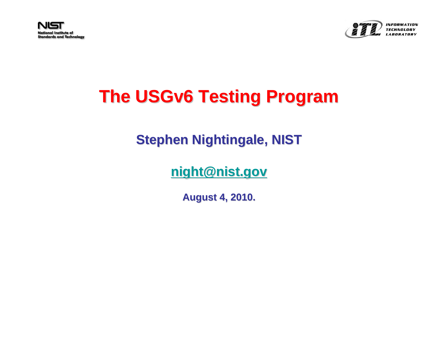



#### INFORMATION

#### **The USGv6 Testing Program**

#### **Stephen Nightingale, NIST**

#### **[night@nist.gov night@nist.gov](mailto:night@nist.gov)**

**August 4, 2010. August 4, 2010.**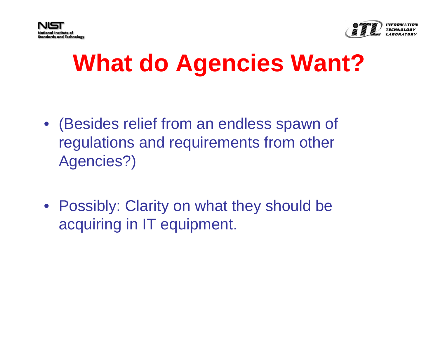



# **What do Agencies Want?**

- (Besides relief from an endless spawn of regulations and requirements from other Agencies?)
- Possibly: Clarity on what they should be acquiring in IT equipment.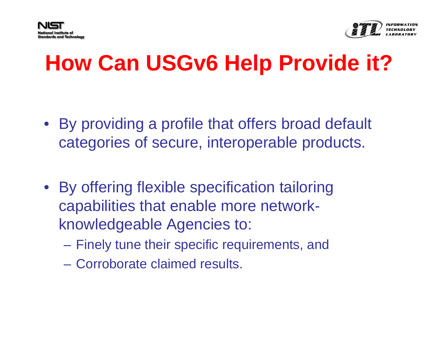



#### **How Can USGv6 Help Provide it?**

- By providing a profile that offers broad default categories of secure, interoperable products.
- By offering flexible specification tailoring capabilities that enable more networkknowledgeable Agencies to:
	- Finely tune their specific requirements, and
	- Corroborate claimed results.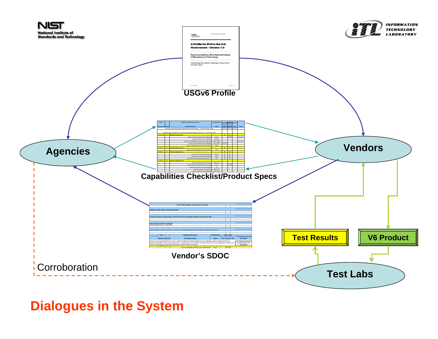

#### **Dialogues in the System**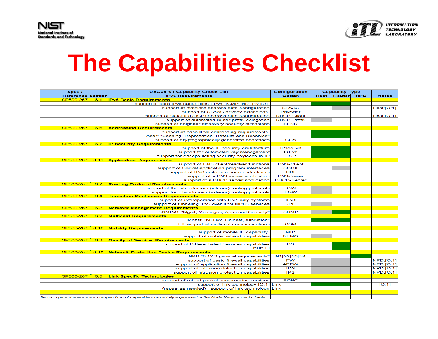

# **The Capabilities Checklist**

| Spec /                   |      | <b>USGv6-V1 Capability Check List</b>                                                                      | Configuration      | <b>Capability Type</b> |             |            |                  |
|--------------------------|------|------------------------------------------------------------------------------------------------------------|--------------------|------------------------|-------------|------------|------------------|
| <b>Reference Section</b> |      | <b>IPv6 Requirements</b>                                                                                   | Option             |                        | Host Router | <b>NPD</b> | <b>Notes</b>     |
| SP500-267                | 6.1  | <b>IPv6 Basic Requirements</b>                                                                             |                    |                        |             |            |                  |
|                          |      | support of core IPv6 capabilities (IPv6, ICMP, ND, PMTU).                                                  |                    |                        |             |            |                  |
|                          |      | support of stateless address auto-configuration                                                            | <b>SLAAC</b>       |                        |             |            | Host:[O:1]       |
|                          |      | support of SLAAC privacy extensions.                                                                       | PrivAddr           |                        |             |            |                  |
|                          |      | support of stateful (DHCP) address auto-configuration                                                      | <b>DHCP-Client</b> |                        |             |            | Host.[O:1]       |
|                          |      | support of automated router prefix delegation                                                              | <b>DHCP-Prefix</b> |                        |             |            |                  |
|                          |      | support of neighbor discovery security extensions                                                          | <b>SEND</b>        |                        |             |            |                  |
| SP500-267                | 6.6  | <b>Addressing Requirements</b>                                                                             |                    |                        |             |            |                  |
|                          |      | support of base IPv6 addressing requirements.                                                              |                    |                        |             |            |                  |
|                          |      | Addr: "Scoping, Deprecation, Defaults and Reserved"                                                        |                    |                        |             |            |                  |
|                          |      | support of cryptographically generated addresses                                                           | <b>CGA</b>         |                        |             |            |                  |
| SP500-267                | 6.7  | <b>IP Security Requirements</b>                                                                            |                    |                        |             |            |                  |
|                          |      | support of the IP security architecture                                                                    | IPsec-V3           |                        |             |            |                  |
|                          |      | support for automated key management                                                                       | IKE <sub>v2</sub>  |                        |             |            |                  |
|                          |      | support for encapsulating security payloads in IP                                                          | <b>ESP</b>         |                        |             |            |                  |
| SP500-267                | 6.11 | <b>Application Requirements</b>                                                                            |                    |                        |             |            |                  |
|                          |      | support of DNS client/resolver functions                                                                   | <b>DNS-Client</b>  |                        |             |            |                  |
|                          |      | support of Socket application program interfaces                                                           | <b>SOCK</b>        |                        |             |            |                  |
|                          |      | support of IPv6 uniform resource identifiers                                                               | <b>URI</b>         |                        |             |            |                  |
|                          |      | support of a DNS server application                                                                        | <b>DNS-Sever</b>   |                        |             |            |                  |
|                          |      | support of a DHCP server application                                                                       | <b>DHCP-Server</b> |                        |             |            |                  |
| SP500-267                | 6.2  | <b>Routing Protocol Requirements</b>                                                                       |                    |                        |             |            |                  |
|                          |      | support of the intra-domain (interior) routing protocols                                                   | <b>IGW</b>         |                        |             |            |                  |
|                          |      | support for inter-domain (exterior) routing protocols                                                      | <b>EGW</b>         |                        |             |            |                  |
| SP500-267                | 6.4  | <b>Transition Mechanism Requirements</b>                                                                   |                    |                        |             |            |                  |
|                          |      | support of interoperation with IPv4-only systems                                                           | IP <sub>v4</sub>   |                        |             |            |                  |
|                          |      | support of tunneling IPv6 over IPv4 MPLS services                                                          | 6PE                |                        |             |            |                  |
| SP500-267                | 6.8  | <b>Network Management Requirements</b>                                                                     |                    |                        |             |            |                  |
|                          |      | SNMPv3: "Mgmt, Messages, Apps and Security"                                                                | <b>SNMP</b>        |                        |             |            |                  |
| SP500-267                | 6.9  | <b>Multicast Requirements</b>                                                                              |                    |                        |             |            |                  |
|                          |      | Mcast: "MLDv2, Unicast, Allocation"                                                                        |                    |                        |             |            |                  |
|                          |      | full support of multicast communications                                                                   | <b>SSM</b>         |                        |             |            |                  |
| SP500-267                |      | 6.10 Mobility Requirements                                                                                 |                    |                        |             |            |                  |
|                          |      | support of mobile IP capability.                                                                           | <b>MIP</b>         |                        |             |            |                  |
|                          |      | support of mobile network capabilities                                                                     | <b>NEMO</b>        |                        |             |            |                  |
| SP500-267                | 6.3  | <b>Quality of Service Requirements</b>                                                                     |                    |                        |             |            |                  |
|                          |      | support of Differentiated Services capabilities                                                            | DS                 |                        |             |            |                  |
|                          |      | PHB Id                                                                                                     |                    |                        |             |            |                  |
| SP500-267                | 6.12 | <b>Network Protection Device Requirements</b>                                                              |                    |                        |             |            |                  |
|                          |      | NPD "6.12.3 general requirements"                                                                          | <b>N1 N2 N3 N4</b> |                        |             |            |                  |
|                          |      | support of basic firewall capabilities                                                                     | <b>FW</b>          |                        |             |            | <b>NPD:[O:1]</b> |
|                          |      | support of application firewall capabilities                                                               | <b>APFW</b>        |                        |             |            | <b>NPD:[O:1]</b> |
|                          |      | support of intrusion detection capabilities                                                                | <b>IDS</b>         |                        |             |            | <b>NPD:[O:1]</b> |
|                          |      | support of intrusion protection capabilities                                                               | <b>IPS</b>         |                        |             |            | <b>NPD:[O:1]</b> |
| SP500-267                | 6.5  | <b>Link Specific Technologies</b>                                                                          |                    |                        |             |            |                  |
|                          |      | support of robust packet compression services                                                              | <b>ROHC</b>        |                        |             |            |                  |
|                          |      | support of link technology [O:1] Link=                                                                     |                    |                        |             |            | [O:1]            |
|                          |      | (repeat as needed) support of link technology $\lfloor$ Link=                                              |                    |                        |             |            |                  |
|                          |      |                                                                                                            |                    |                        |             |            |                  |
|                          |      | Items in parentheses are a compendium of capabilities more fully expressed in the Node Requirements Table. |                    |                        |             |            |                  |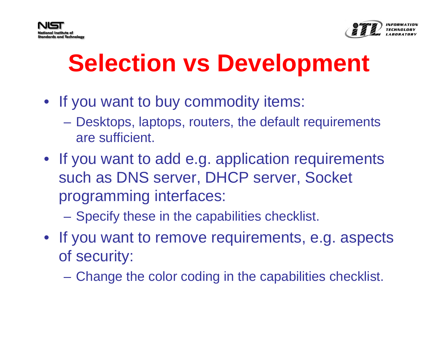



## **Selection vs Development**

- If you want to buy commodity items:
	- Desktops, laptops, routers, the default requirements are sufficient.
- If you want to add e.g. application requirements such as DNS server, DHCP server, Socket programming interfaces:
	- Specify these in the capabilities checklist.
- If you want to remove requirements, e.g. aspects of security:
	- Change the color coding in the capabilities checklist.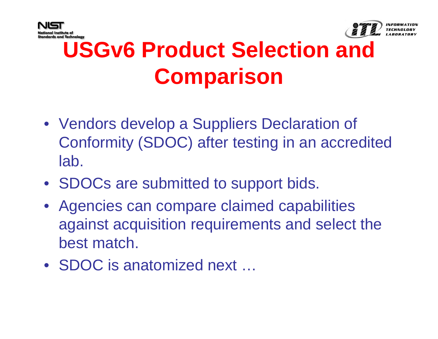



#### **USGv6 Product Selection and Comparison**

- Vendors develop a Suppliers Declaration of Conformity (SDOC) after testing in an accredited lab.
- SDOCs are submitted to support bids.
- Agencies can compare claimed capabilities against acquisition requirements and select the best match.
- SDOC is anatomized next ...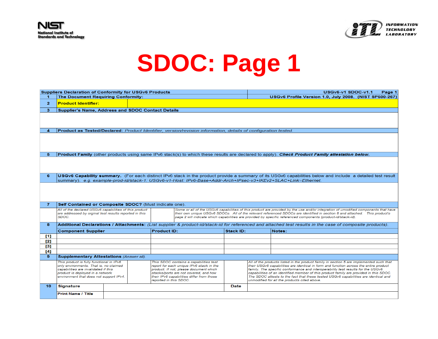



|              | <b>Suppliers Declaration of Conformity for USGv6 Products</b>                                                    |  |                                                                                                               |                                                                     |                                                                                                                | USGv6-v1 SDOC-v1.1<br>Page 1 |                                                                                                                                                                            |                                                                                                                                                                                                                                                                   |  |  |  |
|--------------|------------------------------------------------------------------------------------------------------------------|--|---------------------------------------------------------------------------------------------------------------|---------------------------------------------------------------------|----------------------------------------------------------------------------------------------------------------|------------------------------|----------------------------------------------------------------------------------------------------------------------------------------------------------------------------|-------------------------------------------------------------------------------------------------------------------------------------------------------------------------------------------------------------------------------------------------------------------|--|--|--|
| 1            | The Document Requiring Conformity:                                                                               |  |                                                                                                               |                                                                     |                                                                                                                |                              | USGv6 Profile Version 1.0. July 2008. (NIST SP500-267)                                                                                                                     |                                                                                                                                                                                                                                                                   |  |  |  |
| $\mathbf{2}$ | <b>Product Identifier:</b>                                                                                       |  |                                                                                                               |                                                                     |                                                                                                                |                              |                                                                                                                                                                            |                                                                                                                                                                                                                                                                   |  |  |  |
| 3.           | Supplier's Name, Address and SDOC Contact Details                                                                |  |                                                                                                               |                                                                     |                                                                                                                |                              |                                                                                                                                                                            |                                                                                                                                                                                                                                                                   |  |  |  |
|              |                                                                                                                  |  |                                                                                                               |                                                                     |                                                                                                                |                              |                                                                                                                                                                            |                                                                                                                                                                                                                                                                   |  |  |  |
|              |                                                                                                                  |  |                                                                                                               |                                                                     |                                                                                                                |                              |                                                                                                                                                                            |                                                                                                                                                                                                                                                                   |  |  |  |
|              |                                                                                                                  |  |                                                                                                               |                                                                     |                                                                                                                |                              |                                                                                                                                                                            |                                                                                                                                                                                                                                                                   |  |  |  |
| 4            |                                                                                                                  |  |                                                                                                               |                                                                     | Product as Tested/Declared: Product Identifier, version/revision information, details of configuration tested. |                              |                                                                                                                                                                            |                                                                                                                                                                                                                                                                   |  |  |  |
|              |                                                                                                                  |  |                                                                                                               |                                                                     |                                                                                                                |                              |                                                                                                                                                                            |                                                                                                                                                                                                                                                                   |  |  |  |
|              |                                                                                                                  |  |                                                                                                               |                                                                     |                                                                                                                |                              |                                                                                                                                                                            |                                                                                                                                                                                                                                                                   |  |  |  |
|              |                                                                                                                  |  |                                                                                                               |                                                                     |                                                                                                                |                              |                                                                                                                                                                            |                                                                                                                                                                                                                                                                   |  |  |  |
| 5.           |                                                                                                                  |  |                                                                                                               |                                                                     |                                                                                                                |                              |                                                                                                                                                                            | <b>Product Family</b> (other products using same IPv6 stack(s) to which these results are declared to apply). Check Product Family attestation below.                                                                                                             |  |  |  |
|              |                                                                                                                  |  |                                                                                                               |                                                                     |                                                                                                                |                              |                                                                                                                                                                            |                                                                                                                                                                                                                                                                   |  |  |  |
|              |                                                                                                                  |  |                                                                                                               |                                                                     |                                                                                                                |                              |                                                                                                                                                                            |                                                                                                                                                                                                                                                                   |  |  |  |
|              |                                                                                                                  |  |                                                                                                               |                                                                     |                                                                                                                |                              |                                                                                                                                                                            |                                                                                                                                                                                                                                                                   |  |  |  |
| 6            |                                                                                                                  |  |                                                                                                               |                                                                     |                                                                                                                |                              |                                                                                                                                                                            | USGv6 Capability summary. (For each distinct IPv6 stack in the product provide a summary of its USGv6 capabilities below and include a detailed test result                                                                                                       |  |  |  |
|              |                                                                                                                  |  |                                                                                                               |                                                                     |                                                                                                                |                              |                                                                                                                                                                            | summary). e.g. example-prod-id/stack-1: USGv6-v1-Host: IPv6-Base+Addr-Arch+IPsec-v3+IKEv2+SLAC+Link=Ethernet.                                                                                                                                                     |  |  |  |
|              |                                                                                                                  |  |                                                                                                               |                                                                     |                                                                                                                |                              |                                                                                                                                                                            |                                                                                                                                                                                                                                                                   |  |  |  |
|              |                                                                                                                  |  |                                                                                                               |                                                                     |                                                                                                                |                              |                                                                                                                                                                            |                                                                                                                                                                                                                                                                   |  |  |  |
|              |                                                                                                                  |  |                                                                                                               |                                                                     |                                                                                                                |                              |                                                                                                                                                                            |                                                                                                                                                                                                                                                                   |  |  |  |
|              |                                                                                                                  |  |                                                                                                               |                                                                     |                                                                                                                |                              |                                                                                                                                                                            |                                                                                                                                                                                                                                                                   |  |  |  |
| 7.           | Self Contained or Composite SDOC? (Must indicate one).                                                           |  |                                                                                                               |                                                                     |                                                                                                                |                              |                                                                                                                                                                            |                                                                                                                                                                                                                                                                   |  |  |  |
|              | All of the declared USGv6 capabilities of this product<br>are addressed by orginal test results reported in this |  |                                                                                                               |                                                                     |                                                                                                                |                              |                                                                                                                                                                            | Some or all of the USGv6 capabilities of this product are provided by the use and/or integration of umodified components that have<br>their own unique USGv6 SDOCs. All of the relevant referenced SDOCs are identified in section 8 and attached. This product's |  |  |  |
|              | SDOC.                                                                                                            |  | page 2 will indicate which capabilities are provided by specific referenced components (product-id/stack-id). |                                                                     |                                                                                                                |                              |                                                                                                                                                                            |                                                                                                                                                                                                                                                                   |  |  |  |
| 8            |                                                                                                                  |  |                                                                                                               |                                                                     |                                                                                                                |                              |                                                                                                                                                                            | Additional Declarations / Attachments: (List supplier & product-id/stack-id for referenced and attached test results in the case of composite products).                                                                                                          |  |  |  |
|              | <b>Component Supplier</b>                                                                                        |  |                                                                                                               | <b>Product ID:</b>                                                  |                                                                                                                | Stack ID:                    |                                                                                                                                                                            | Notes:                                                                                                                                                                                                                                                            |  |  |  |
| [1]          |                                                                                                                  |  |                                                                                                               |                                                                     |                                                                                                                |                              |                                                                                                                                                                            |                                                                                                                                                                                                                                                                   |  |  |  |
| [2]          |                                                                                                                  |  |                                                                                                               |                                                                     |                                                                                                                |                              |                                                                                                                                                                            |                                                                                                                                                                                                                                                                   |  |  |  |
| [3]          |                                                                                                                  |  |                                                                                                               |                                                                     |                                                                                                                |                              |                                                                                                                                                                            |                                                                                                                                                                                                                                                                   |  |  |  |
| [4]          |                                                                                                                  |  |                                                                                                               |                                                                     |                                                                                                                |                              |                                                                                                                                                                            |                                                                                                                                                                                                                                                                   |  |  |  |
| 9            | <b>Supplementary Attestations (Answer all).</b>                                                                  |  |                                                                                                               |                                                                     |                                                                                                                |                              |                                                                                                                                                                            |                                                                                                                                                                                                                                                                   |  |  |  |
|              | This product is fully functional in IPv6                                                                         |  |                                                                                                               |                                                                     | This SDOC contains a capabilities test                                                                         |                              |                                                                                                                                                                            | All of the products listed in the product family in section 5 are implemented such that                                                                                                                                                                           |  |  |  |
|              | only environments. That is, no claimed                                                                           |  |                                                                                                               |                                                                     | report for each unique IPv6 stack in the<br>product. If not, please document which                             |                              |                                                                                                                                                                            | their USGv6 capabilities are identical in form and function across the entire product                                                                                                                                                                             |  |  |  |
|              | capabilities are invalidated if this<br>product is deployed in a network                                         |  |                                                                                                               |                                                                     | stacks/ports are not covered, and how                                                                          |                              | family. The specific conformance and interoperability test results for the USGv6<br>capabilities of an identified member of this product family are provided in this SDOC. |                                                                                                                                                                                                                                                                   |  |  |  |
|              | environment that does not support IPv4.                                                                          |  |                                                                                                               | their IPv6 capabilities differ from those<br>reported in this SDOC. |                                                                                                                |                              |                                                                                                                                                                            | The SDOC attests to the fact that these tested USGv6 capabilities are identical and<br>unmodified for all the products cited above.                                                                                                                               |  |  |  |
| 10           | <b>Signature</b>                                                                                                 |  |                                                                                                               |                                                                     |                                                                                                                | Date                         |                                                                                                                                                                            |                                                                                                                                                                                                                                                                   |  |  |  |
|              |                                                                                                                  |  |                                                                                                               |                                                                     |                                                                                                                |                              |                                                                                                                                                                            |                                                                                                                                                                                                                                                                   |  |  |  |
|              | <b>Print Name / Title</b>                                                                                        |  |                                                                                                               |                                                                     |                                                                                                                |                              |                                                                                                                                                                            |                                                                                                                                                                                                                                                                   |  |  |  |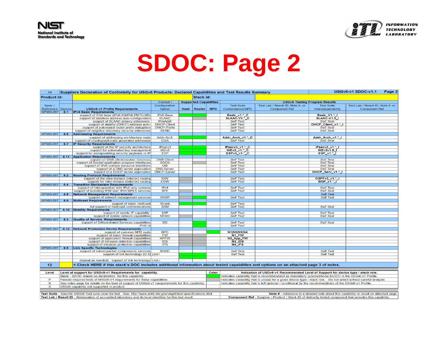



| 11                                                                                                          |                                            | Suppliers Declaration of Conformity for USGv6 Products: Declared Capabilities and Test Results Summary                                                                                                                                                                               |                                         |  |                               |                                                                                                             |                                                                                         |                                                                                                        |                                      | USGv6-v1 SDOC-v1.1<br>Page 2     |  |  |
|-------------------------------------------------------------------------------------------------------------|--------------------------------------------|--------------------------------------------------------------------------------------------------------------------------------------------------------------------------------------------------------------------------------------------------------------------------------------|-----------------------------------------|--|-------------------------------|-------------------------------------------------------------------------------------------------------------|-----------------------------------------------------------------------------------------|--------------------------------------------------------------------------------------------------------|--------------------------------------|----------------------------------|--|--|
| <b>Product Id:</b>                                                                                          |                                            |                                                                                                                                                                                                                                                                                      |                                         |  | Stack Id:                     |                                                                                                             |                                                                                         |                                                                                                        |                                      |                                  |  |  |
|                                                                                                             |                                            |                                                                                                                                                                                                                                                                                      | Context /                               |  | <b>Supported Capabilities</b> |                                                                                                             |                                                                                         |                                                                                                        | <b>USGv6 Testing Program Results</b> |                                  |  |  |
| Spec /                                                                                                      |                                            |                                                                                                                                                                                                                                                                                      | Configuration                           |  |                               |                                                                                                             | <b>Test Suite</b>                                                                       | Test Lab / Result ID, Note #, or                                                                       | <b>Test Suite</b>                    | Test Lab / Result ID, Note #, or |  |  |
| Reference Section                                                                                           |                                            | <b>USGv6-v1 Profile Requirements</b>                                                                                                                                                                                                                                                 | Option                                  |  | Host   Router                 | <b>NPD</b>                                                                                                  | Conformance/NPD                                                                         | <b>Component Ref</b>                                                                                   | Interopoperability                   | <b>Component Ref</b>             |  |  |
| SP500-267                                                                                                   | 6.1                                        | <b>IPv6 Basic Requirements</b>                                                                                                                                                                                                                                                       |                                         |  |                               |                                                                                                             |                                                                                         |                                                                                                        |                                      |                                  |  |  |
|                                                                                                             |                                            | support of IPv6 base (IPv6;ICMPv6;PMTU;ND)                                                                                                                                                                                                                                           | IPv6-Base                               |  |                               |                                                                                                             | Basic_v1.*_C                                                                            |                                                                                                        | Basic_V1.*_I                         |                                  |  |  |
|                                                                                                             |                                            | support of stateless address auto-configuration                                                                                                                                                                                                                                      | <b>SLAAC</b>                            |  |                               |                                                                                                             | SLAAC-V1.* C                                                                            |                                                                                                        | <b>SLAAC-V1.0  </b>                  |                                  |  |  |
|                                                                                                             |                                            | support of SLAAC privacy extensions.                                                                                                                                                                                                                                                 | PrivAddr                                |  |                               |                                                                                                             | <b>Self Test</b>                                                                        |                                                                                                        | <b>Self Test</b>                     |                                  |  |  |
|                                                                                                             |                                            | support of stateful (DHCP) address auto-                                                                                                                                                                                                                                             | <b>DHCP-Client</b>                      |  |                               |                                                                                                             | <b>Self Test</b>                                                                        |                                                                                                        | DHCP_Client_v1.*_I                   |                                  |  |  |
|                                                                                                             |                                            | support of automated router prefix delegation                                                                                                                                                                                                                                        | <b>DHCP-Prefix</b>                      |  |                               |                                                                                                             | <b>Self Test</b>                                                                        |                                                                                                        | <b>Self Test</b>                     |                                  |  |  |
|                                                                                                             |                                            | support of neighbor discovery security extensions                                                                                                                                                                                                                                    | <b>SEND</b>                             |  |                               |                                                                                                             | <b>Self Test</b>                                                                        |                                                                                                        | <b>Self Test</b>                     |                                  |  |  |
| SP500-267                                                                                                   | 6.6                                        | <b>Addressing Requirements</b>                                                                                                                                                                                                                                                       |                                         |  |                               |                                                                                                             |                                                                                         |                                                                                                        |                                      |                                  |  |  |
|                                                                                                             |                                            | support of addressing architecture reqts                                                                                                                                                                                                                                             | Addr-Arch                               |  |                               |                                                                                                             | Addr_Arch_v1.*_C                                                                        |                                                                                                        | Addr_Arch_v1.*_I                     |                                  |  |  |
|                                                                                                             |                                            | support of cryptographically generated addresses                                                                                                                                                                                                                                     | <b>CGA</b>                              |  |                               |                                                                                                             | <b>Self Test</b>                                                                        |                                                                                                        | <b>Self Test</b>                     |                                  |  |  |
| SP500-267                                                                                                   | 6.7                                        | <b>IP Security Requirements</b>                                                                                                                                                                                                                                                      |                                         |  |                               |                                                                                                             |                                                                                         |                                                                                                        |                                      |                                  |  |  |
|                                                                                                             |                                            | support of the IP security architecture                                                                                                                                                                                                                                              | IPsecv3                                 |  |                               |                                                                                                             | IPsecv3_v1.*_C                                                                          |                                                                                                        | $IPsecv3_v1.*_1$                     |                                  |  |  |
|                                                                                                             |                                            | support for automated key management                                                                                                                                                                                                                                                 | IKE <sub>v2</sub>                       |  |                               |                                                                                                             | <b>IKEv2_v1.*_C</b>                                                                     |                                                                                                        | <b>IKEv2v1.0  </b>                   |                                  |  |  |
|                                                                                                             |                                            | support for encapsulating security payloads in IP                                                                                                                                                                                                                                    | <b>ESP</b>                              |  |                               |                                                                                                             | ESPv3_v1.*_C                                                                            |                                                                                                        | ESP_v1.*_I                           |                                  |  |  |
| SP500-267                                                                                                   | 6.11                                       | <b>Application Requirements</b>                                                                                                                                                                                                                                                      |                                         |  |                               |                                                                                                             |                                                                                         |                                                                                                        |                                      |                                  |  |  |
|                                                                                                             |                                            | support of DNS client/resolver functions                                                                                                                                                                                                                                             | <b>DNS-Client</b>                       |  |                               |                                                                                                             | <b>Self Test</b>                                                                        |                                                                                                        | <b>Self Test</b>                     |                                  |  |  |
|                                                                                                             |                                            | support of Socket application program interfaces                                                                                                                                                                                                                                     | <b>SOCK</b>                             |  |                               |                                                                                                             | <b>Self Test</b>                                                                        |                                                                                                        | <b>Self Test</b>                     |                                  |  |  |
|                                                                                                             |                                            | support of IPv6 uniform resource identifiers                                                                                                                                                                                                                                         | <b>URI</b>                              |  |                               |                                                                                                             | <b>Self Test</b>                                                                        |                                                                                                        | <b>Self Test</b>                     |                                  |  |  |
|                                                                                                             |                                            | support of a DNS server application                                                                                                                                                                                                                                                  | <b>DNS-Server</b><br><b>DHCP-Server</b> |  |                               |                                                                                                             | <b>Self Test</b>                                                                        |                                                                                                        | <b>Self Test</b>                     |                                  |  |  |
| SP500-267                                                                                                   |                                            | support of a DHCP server application<br><b>Routing Protocol Requirements</b>                                                                                                                                                                                                         |                                         |  |                               |                                                                                                             | <b>Self Test</b>                                                                        |                                                                                                        | DHCP_Serv_v1.*_I                     |                                  |  |  |
|                                                                                                             | 6.2                                        | support of the intra-domain (interior) routing                                                                                                                                                                                                                                       | <b>IGW</b>                              |  |                               |                                                                                                             | <b>Self Test</b>                                                                        |                                                                                                        | OSPFv3_v1.*_I                        |                                  |  |  |
|                                                                                                             |                                            | support for inter-domain (exterior) routing                                                                                                                                                                                                                                          | <b>EGW</b>                              |  |                               |                                                                                                             | <b>Self Test</b>                                                                        |                                                                                                        | <b>BGP_v1.*_I</b>                    |                                  |  |  |
| SP500-267                                                                                                   | 6.4                                        | <b>Transition Mechanism Requirements</b>                                                                                                                                                                                                                                             |                                         |  |                               |                                                                                                             |                                                                                         |                                                                                                        |                                      |                                  |  |  |
|                                                                                                             |                                            | support of interoperation with IPv4-only systems                                                                                                                                                                                                                                     | IPv4                                    |  |                               |                                                                                                             | <b>Self Test</b>                                                                        |                                                                                                        | <b>Self Test</b>                     |                                  |  |  |
|                                                                                                             |                                            | support of tunneling IPv6 over IPv4 MPLS services                                                                                                                                                                                                                                    | 6PE                                     |  |                               |                                                                                                             | <b>Self Test</b>                                                                        |                                                                                                        | <b>Self Test</b>                     |                                  |  |  |
| SP500-267                                                                                                   | 6.8                                        | <b>Network Management Requirements</b>                                                                                                                                                                                                                                               |                                         |  |                               |                                                                                                             |                                                                                         |                                                                                                        | <b>Self Test</b>                     |                                  |  |  |
|                                                                                                             |                                            | support of network management services                                                                                                                                                                                                                                               | <b>SNMP</b>                             |  |                               |                                                                                                             | <b>Self Test</b>                                                                        |                                                                                                        | <b>Self Test</b>                     |                                  |  |  |
| SP500-267                                                                                                   | 6.9                                        | <b>Multicast Requirements</b>                                                                                                                                                                                                                                                        |                                         |  |                               |                                                                                                             |                                                                                         |                                                                                                        |                                      |                                  |  |  |
|                                                                                                             |                                            | support of basic multicast                                                                                                                                                                                                                                                           | <b>Mcast</b>                            |  |                               |                                                                                                             | <b>Self Test</b>                                                                        |                                                                                                        |                                      |                                  |  |  |
|                                                                                                             |                                            | full support of multicast communications                                                                                                                                                                                                                                             | <b>SSM</b>                              |  |                               |                                                                                                             | <b>Self Test</b>                                                                        |                                                                                                        | <b>Self Test</b>                     |                                  |  |  |
| SP500-267                                                                                                   |                                            | 6.10 Mobility Requirements                                                                                                                                                                                                                                                           |                                         |  |                               |                                                                                                             |                                                                                         |                                                                                                        |                                      |                                  |  |  |
|                                                                                                             |                                            | support of mobile IP capability.                                                                                                                                                                                                                                                     | <b>MIP</b>                              |  |                               |                                                                                                             | <b>Self Test</b>                                                                        |                                                                                                        | <b>Self Test</b>                     |                                  |  |  |
|                                                                                                             |                                            | support of mobile network capabilities                                                                                                                                                                                                                                               | <b>NEMO</b>                             |  |                               |                                                                                                             | <b>Self Test</b>                                                                        |                                                                                                        | <b>Self Test</b>                     |                                  |  |  |
| SP500-267                                                                                                   | 6.3                                        | <b>Quality of Service Requirements</b>                                                                                                                                                                                                                                               |                                         |  |                               |                                                                                                             |                                                                                         |                                                                                                        |                                      |                                  |  |  |
|                                                                                                             |                                            | support of Differentiated Services capabilities                                                                                                                                                                                                                                      | <b>DS</b>                               |  |                               |                                                                                                             | <b>Self Test</b>                                                                        |                                                                                                        | <b>Self Test</b>                     |                                  |  |  |
|                                                                                                             |                                            | PHB Id                                                                                                                                                                                                                                                                               |                                         |  |                               |                                                                                                             | <b>Self Test</b>                                                                        |                                                                                                        |                                      |                                  |  |  |
| SP500-267                                                                                                   |                                            | 6.12 Network Protection Device Requirements                                                                                                                                                                                                                                          |                                         |  |                               |                                                                                                             |                                                                                         |                                                                                                        |                                      |                                  |  |  |
|                                                                                                             |                                            | support of common NPD regts                                                                                                                                                                                                                                                          | <b>NPD</b>                              |  |                               |                                                                                                             | <b>N1 N2 N3 N4</b>                                                                      |                                                                                                        |                                      |                                  |  |  |
|                                                                                                             |                                            | support of basic firewall capabilities                                                                                                                                                                                                                                               | <b>FW</b>                               |  |                               |                                                                                                             | N <sub>1</sub> FW                                                                       |                                                                                                        |                                      |                                  |  |  |
|                                                                                                             |                                            | support of application firewall capabilities                                                                                                                                                                                                                                         | <b>APFW</b>                             |  |                               |                                                                                                             | N2_App_FW                                                                               |                                                                                                        |                                      |                                  |  |  |
|                                                                                                             |                                            | support of intrusion detection capabilities                                                                                                                                                                                                                                          | <b>IDS</b>                              |  |                               |                                                                                                             | N3 IDS                                                                                  |                                                                                                        |                                      |                                  |  |  |
|                                                                                                             |                                            | support of intrusion protection capabilities                                                                                                                                                                                                                                         | <b>IPS</b>                              |  |                               |                                                                                                             | N4_IPS                                                                                  |                                                                                                        |                                      |                                  |  |  |
| SP500-267                                                                                                   | 6.5                                        | <b>Link Specific Technologies</b>                                                                                                                                                                                                                                                    |                                         |  |                               |                                                                                                             |                                                                                         |                                                                                                        |                                      |                                  |  |  |
|                                                                                                             |                                            | support of robust packet compression services                                                                                                                                                                                                                                        | <b>ROHC</b>                             |  |                               |                                                                                                             | <b>Self Test</b>                                                                        |                                                                                                        | <b>Self Test</b>                     |                                  |  |  |
|                                                                                                             |                                            | support of link technology [O:1] Link=                                                                                                                                                                                                                                               |                                         |  |                               |                                                                                                             | <b>Self Test</b>                                                                        |                                                                                                        | <b>Self Test</b>                     |                                  |  |  |
|                                                                                                             |                                            |                                                                                                                                                                                                                                                                                      |                                         |  |                               |                                                                                                             |                                                                                         |                                                                                                        |                                      |                                  |  |  |
|                                                                                                             |                                            | (repeat as needed) support of link technology Link=                                                                                                                                                                                                                                  |                                         |  |                               |                                                                                                             |                                                                                         |                                                                                                        |                                      |                                  |  |  |
| 12 <sub>2</sub>                                                                                             |                                            | < Check HERE if this stack's DOC includes additional information about tested capabilities and options on an attached page 3 of notes.                                                                                                                                               |                                         |  |                               |                                                                                                             |                                                                                         |                                                                                                        |                                      |                                  |  |  |
|                                                                                                             |                                            |                                                                                                                                                                                                                                                                                      |                                         |  |                               |                                                                                                             |                                                                                         |                                                                                                        |                                      |                                  |  |  |
| Level                                                                                                       |                                            | Level of support for USGv6-v1 Requirements for capability.<br>Color<br>Indication of USGv6-v1 Recommended Level of Support for device type / stack role.                                                                                                                             |                                         |  |                               |                                                                                                             |                                                                                         |                                                                                                        |                                      |                                  |  |  |
| P                                                                                                           |                                            | Blank - SDOC makes no declaration for this capability.<br>Indicates capability that is recommendend as mandatory (unconditional MUST) in the USGv6-v1 Profile.<br>Indicates cabability that is unusal for a given device type / stack role.  Do not select without careful analysis. |                                         |  |                               |                                                                                                             |                                                                                         |                                                                                                        |                                      |                                  |  |  |
|                                                                                                             |                                            | Passed required tests of USGv6-V1 requirements for these capabilities.                                                                                                                                                                                                               |                                         |  |                               |                                                                                                             |                                                                                         |                                                                                                        |                                      |                                  |  |  |
| N                                                                                                           |                                            | See notes page for details on the level of support of USGv6-v1 reequirements for this capability                                                                                                                                                                                     |                                         |  |                               |                                                                                                             |                                                                                         | Indicates capability that is left optional / ocnditional by the recommedations of the USGv6-v1 Profile |                                      |                                  |  |  |
| $\boldsymbol{\mathsf{x}}$                                                                                   | USGv6 capability not supported in product. |                                                                                                                                                                                                                                                                                      |                                         |  |                               |                                                                                                             |                                                                                         |                                                                                                        |                                      |                                  |  |  |
|                                                                                                             |                                            |                                                                                                                                                                                                                                                                                      |                                         |  |                               |                                                                                                             |                                                                                         |                                                                                                        |                                      |                                  |  |  |
|                                                                                                             |                                            | Test Suite - Specific USGv6 Test suite used for test. See: http://www.antd.nist.gov/usgv6/test-specifications.html                                                                                                                                                                   |                                         |  |                               |                                                                                                             | Note # - reference to a detailed note about this capability or result on attached page. |                                                                                                        |                                      |                                  |  |  |
| Test Lab / Result ID - Abbreviation of accredited laboratory and its local identifier for this test result. |                                            |                                                                                                                                                                                                                                                                                      |                                         |  |                               | Component Ref - Supplier / Product / Stack ID of distinctly tested component that provides this capability. |                                                                                         |                                                                                                        |                                      |                                  |  |  |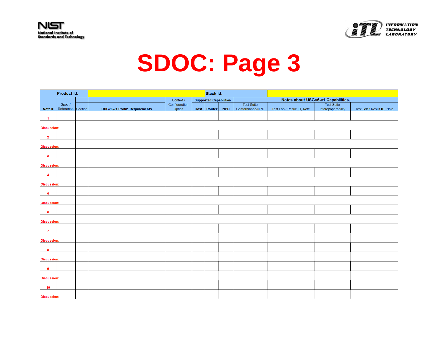



|                         | Product Id:       |  |                               |               | Stack Id:                     |            |                   |                                    |                    |                            |  |
|-------------------------|-------------------|--|-------------------------------|---------------|-------------------------------|------------|-------------------|------------------------------------|--------------------|----------------------------|--|
|                         |                   |  |                               | Context /     | <b>Supported Capabilities</b> |            |                   | Notes about USGv6-v1 Capabilities. |                    |                            |  |
|                         | Spec /            |  |                               | Configuration |                               |            | <b>Test Suite</b> |                                    | <b>Test Suite</b>  |                            |  |
| Note #                  | Reference Section |  | USGv6-v1 Profile Requirements | Option        | Host   Router                 | <b>NPD</b> | Conformance/NPD   | Test Lab / Result ID, Note         | Interopoperability | Test Lab / Result ID, Note |  |
| $\overline{1}$          |                   |  |                               |               |                               |            |                   |                                    |                    |                            |  |
| <b>Discussion:</b>      |                   |  |                               |               |                               |            |                   |                                    |                    |                            |  |
| $\overline{2}$          |                   |  |                               |               |                               |            |                   |                                    |                    |                            |  |
| <b>Discussion:</b>      |                   |  |                               |               |                               |            |                   |                                    |                    |                            |  |
| $\mathbf{3}$            |                   |  |                               |               |                               |            |                   |                                    |                    |                            |  |
| <b>Discussion:</b>      |                   |  |                               |               |                               |            |                   |                                    |                    |                            |  |
| $\overline{\mathbf{4}}$ |                   |  |                               |               |                               |            |                   |                                    |                    |                            |  |
| <b>Discussion:</b>      |                   |  |                               |               |                               |            |                   |                                    |                    |                            |  |
| 5                       |                   |  |                               |               |                               |            |                   |                                    |                    |                            |  |
| Discussion:             |                   |  |                               |               |                               |            |                   |                                    |                    |                            |  |
| 6                       |                   |  |                               |               |                               |            |                   |                                    |                    |                            |  |
| <b>Discussion:</b>      |                   |  |                               |               |                               |            |                   |                                    |                    |                            |  |
| $\overline{7}$          |                   |  |                               |               |                               |            |                   |                                    |                    |                            |  |
| <b>Discussion:</b>      |                   |  |                               |               |                               |            |                   |                                    |                    |                            |  |
| 8                       |                   |  |                               |               |                               |            |                   |                                    |                    |                            |  |
| <b>Discussion:</b>      |                   |  |                               |               |                               |            |                   |                                    |                    |                            |  |
| 9                       |                   |  |                               |               |                               |            |                   |                                    |                    |                            |  |
| <b>Discussion:</b>      |                   |  |                               |               |                               |            |                   |                                    |                    |                            |  |
| 10                      |                   |  |                               |               |                               |            |                   |                                    |                    |                            |  |
| <b>Discussion:</b>      |                   |  |                               |               |                               |            |                   |                                    |                    |                            |  |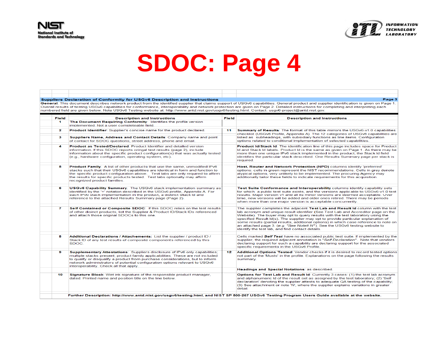



#### Suppliers Declaration of Conformity for USGv6 Description and Instructions

Page 3

General: This document describes network product from the identified supplier that claims support of USGv6 capabilities. General product and supplier identification is given on Page 1. Overall results of testing USGv6 capabilities for conformance, interoperability and network protection are given on Page 2. Detailed instructions for completing and interpreting each numbered field are given below. Note USGv6 Testing website at: http://www.antd.nist.gov/usgv6/testing.html. Contact: usgv6-project@antd.nist.gov.

| <b>Field</b>         | <b>Description and Instructions</b>                                                                                                                                                                                                                                                                                                                                        | Field | <b>Description and Instructions</b>                                                                                                                                                                                                                                                                                                                                                                                                                                                                                                                                     |
|----------------------|----------------------------------------------------------------------------------------------------------------------------------------------------------------------------------------------------------------------------------------------------------------------------------------------------------------------------------------------------------------------------|-------|-------------------------------------------------------------------------------------------------------------------------------------------------------------------------------------------------------------------------------------------------------------------------------------------------------------------------------------------------------------------------------------------------------------------------------------------------------------------------------------------------------------------------------------------------------------------------|
| $\blacktriangleleft$ | The Document Requiring Conformity: Identifies the profile version<br>implemented. Not a user completeable field.                                                                                                                                                                                                                                                           |       |                                                                                                                                                                                                                                                                                                                                                                                                                                                                                                                                                                         |
| 2                    | <b>Product Identifier:</b> Supplier's concise name for the product declared.                                                                                                                                                                                                                                                                                               | 11    | <b>Summary of Results:</b> The format of this table mirrors the USGv6-v1.0 capabilities                                                                                                                                                                                                                                                                                                                                                                                                                                                                                 |
| 3.                   | Suppliers Name, Address and Contact Details: Company name and point<br>of contact for SDOC questions, street address, phone and email.                                                                                                                                                                                                                                     |       | checklist (USGv6 Profile, Appendix A). The 12 categories of USGv6 capabilities are<br>listed as subheadings, with subsidiary functions as line items. Configuration<br>options related to conditional implementation of selected capabilities.                                                                                                                                                                                                                                                                                                                          |
| 4                    | <b>Product as Tested/Declared: Product Identifier and detailed version</b><br>information. If this SDOC reports oringal test results (page 2), include<br>information about the specific product configuration(s) that was actually tested<br>(e.g., hardware configuration, operating system, etc).                                                                       |       | <b>Product Id/Stack Id:</b> The identification line of this page includes space for Product<br>Id and Stack Id labels. Product Id is the same as given on Page 1. As there may be<br>more than one unique IPv6 stack implemented in the product, the Stack Id field<br>identifies the particular stack described. One Results Summary page per stack is<br>required.                                                                                                                                                                                                    |
| 5                    | <b>Product Family:</b> A list of other products that use the same, unmodified IPv6<br>stacks such that their USGv6 capabilities are identical in form and function to<br>the specific product configuration above. Test labs are only required to affirm<br>the results for specific products tested. Test labs optionally may affirm<br>recognized product families.      |       | Host, Router and Network Protection (NPD) columns identify 'preferred'<br>options: cells in green represent the NIST recommendations. Cells in grey denote<br>atypical options, very unlikely to be implemented. The procuring Agency may<br>additionally tailor these fields to indicate requirements for this acquisition.                                                                                                                                                                                                                                            |
| 6                    | <b>USGv6 Capability Summary:</b> The USGv6 stack implementation summary as<br>identified by the '+' notation described in the USGv6 profile, Appendix A. For<br>each IPv6 stack implementation in the product, a distinct Stack Id and<br>reference to the attached Results Summary page (Page 2).                                                                         |       | Test Suite Conformance and Interoperability columns identify capability sets<br>for which a public test suite exists, and the versions applicable to USGv6-v1.0 test<br>results. Major version v1 and all its minor versions are deemed acceptable. Over<br>time, new versions will be added and older ones retired. There may be periods<br>when more than one major version is acceptable concurrently.                                                                                                                                                               |
| $\mathbf{z}$         | Self Contained or Composite SDOC: If this SDOC relies on the test results<br>of other disinct products, list the Supplier & Product ID/Stack IDs referenced<br>and attach those original SDOCs to this one.                                                                                                                                                                |       | The supplier completes the adjacent Test Lab and Result Id column with the test<br>lab acronym and unique result identifier (See Test Lab and Accreditor page on the<br>Website). The buyer may opt to query results with the test laboratory using the<br>specified Result Id(s). The supplier may opt to provide particular explanation of<br>some results (partial results, additional options) in which case reference to note on<br>an attached page 3. (e.g. "See Note# N"). See the USGv6 testing website to<br>identify the test lab, and find contact details. |
| 8                    | Additional Declarations / Attachements: List the supplier / product ID /<br>Stack ID of any test results of composite components referenced by this<br>SDOC.                                                                                                                                                                                                               |       | Cells marked Self Test have no associated public test suite. If implemented by the<br>supplier, the required adjacent annotation is "Self Declaration". Note that vendors<br>declaring support for such a capability are declaring support for the associated<br>specific requirements in the USGv6 Profile.                                                                                                                                                                                                                                                            |
| 9                    | Supplementary Attestations: Suppliers disclosure of IPv6 only capabilities;<br>multiple stacks present; product family applicabilities. These are not included<br>to qualify or disqualify a product from purchase considerations, but to inform<br>network administrators of potential configuration options relevant to USGv6<br>interoperability. Check all that apply. | 12    | Additional Options Tested: Vendor checks if it is desired to record tested options<br>not part of the 'Musts' in the profile. Explanations on the page following the results<br>summary.                                                                                                                                                                                                                                                                                                                                                                                |
|                      |                                                                                                                                                                                                                                                                                                                                                                            |       | Headings and Special Notations: as described.                                                                                                                                                                                                                                                                                                                                                                                                                                                                                                                           |
| 10                   | <b>Signature Block:</b> Wet ink signature of the responsible product manager.<br>dated. Printed name and position title on the line below.                                                                                                                                                                                                                                 |       | Options for Test Lab and Result Id: Currently 3 cases: (1) the test lab acronym<br>and alphanumeric Id of the result set as assigned by the test laboratory; (2) 'Self<br>declaration' denoting the supplier attests to adequate QA testing of the capability;<br>(3) See attachment or note 'N', where the supplier explains variations in greater<br>detail.                                                                                                                                                                                                          |
|                      | Further Description: http://www.antd.nist.gov/usgv6/testing.html, and NIST SP 500-267 USGv6 Testing Program Users Guide available at the website.                                                                                                                                                                                                                          |       |                                                                                                                                                                                                                                                                                                                                                                                                                                                                                                                                                                         |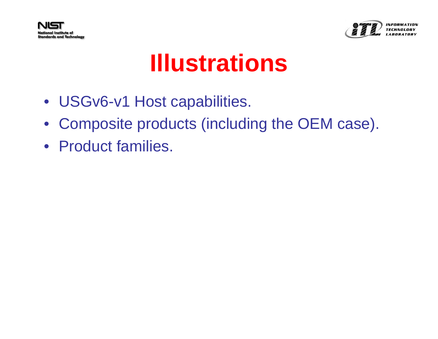



## **Illustrations**

- USGv6-v1 Host capabilities.
- Composite products (including the OEM case).
- Product families.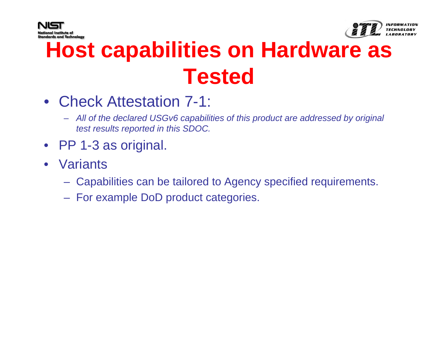



#### **Host capabilities on Hardware as Tested**

- Check Attestation 7-1:
	- *All of the declared USGv6 capabilities of this product are addressed by original test results reported in this SDOC.*
- PP 1-3 as original.
- Variants
	- Capabilities can be tailored to Agency specified requirements.
	- For example DoD product categories.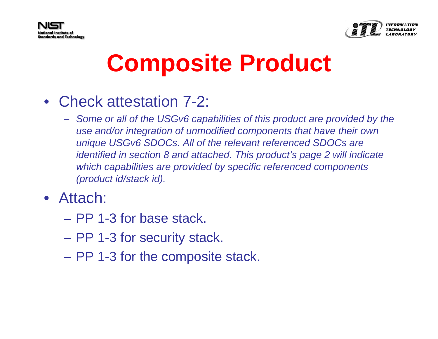



## **Composite Product**

- Check attestation 7-2:
	- *Some or all of the USGv6 capabilities of this product are provided by the use and/or integration of unmodified components that have their own unique USGv6 SDOCs. All of the relevant referenced SDOCs are identified in section 8 and attached. This product's page 2 will indicate which capabilities are provided by specific referenced components (product id/stack id).*
- Attach:
	- PP 1-3 for base stack.
	- PP 1-3 for security stack.
	- PP 1-3 for the composite stack.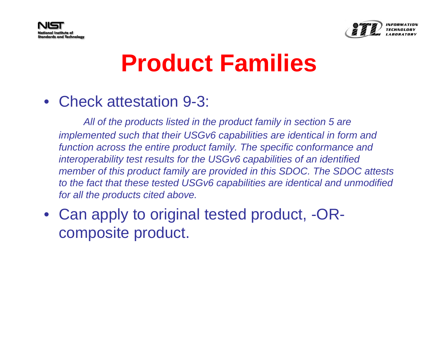



## **Product Families**

#### • Check attestation 9-3:

*All of the products listed in the product family in section 5 are implemented such that their USGv6 capabilities are identical in form and function across the entire product family. The specific conformance and interoperability test results for the USGv6 capabilities of an identified member of this product family are provided in this SDOC. The SDOC attests to the fact that these tested USGv6 capabilities are identical and unmodified for all the products cited above.*

#### • Can apply to original tested product, -ORcomposite product.